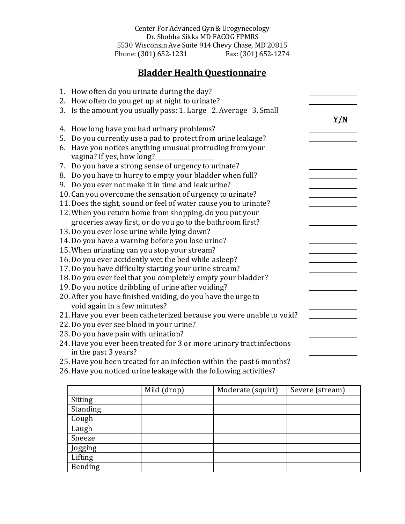Center For Advanced Gyn & Urogynecology Dr. Shobha Sikka MD FACOG FPMRS 5530 Wisconsin Ave Suite 914 Chevy Chase, MD 20815 Phone: (301) 652-1231

## **Bladder Health Questionnaire**

|    | 1. How often do you urinate during the day?                           |     |
|----|-----------------------------------------------------------------------|-----|
|    | 2. How often do you get up at night to urinate?                       |     |
| 3. | Is the amount you usually pass: 1. Large 2. Average 3. Small          |     |
|    |                                                                       | Y/N |
| 4. | How long have you had urinary problems?                               |     |
| 5. | Do you currently use a pad to protect from urine leakage?             |     |
|    | 6. Have you notices anything unusual protruding from your             |     |
|    | vagina? If yes, how long?                                             |     |
|    | 7. Do you have a strong sense of urgency to urinate?                  |     |
|    | 8. Do you have to hurry to empty your bladder when full?              |     |
|    | 9. Do you ever not make it in time and leak urine?                    |     |
|    | 10. Can you overcome the sensation of urgency to urinate?             |     |
|    | 11. Does the sight, sound or feel of water cause you to urinate?      |     |
|    | 12. When you return home from shopping, do you put your               |     |
|    | groceries away first, or do you go to the bathroom first?             |     |
|    | 13. Do you ever lose urine while lying down?                          |     |
|    | 14. Do you have a warning before you lose urine?                      |     |
|    | 15. When urinating can you stop your stream?                          |     |
|    | 16. Do you ever accidently wet the bed while asleep?                  |     |
|    | 17. Do you have difficulty starting your urine stream?                |     |
|    | 18. Do you ever feel that you completely empty your bladder?          |     |
|    | 19. Do you notice dribbling of urine after voiding?                   |     |
|    | 20. After you have finished voiding, do you have the urge to          |     |
|    | void again in a few minutes?                                          |     |
|    | 21. Have you ever been catheterized because you were unable to void?  |     |
|    | 22. Do you ever see blood in your urine?                              |     |
|    | 23. Do you have pain with urination?                                  |     |
|    | 24. Have you ever been treated for 3 or more urinary tract infections |     |
|    | in the past 3 years?                                                  |     |
|    | 25. Have you been treated for an infection within the past 6 months?  |     |
|    | 26. Have you noticed urine leakage with the following activities?     |     |

|                | Mild (drop) | Moderate (squirt) | Severe (stream) |
|----------------|-------------|-------------------|-----------------|
| Sitting        |             |                   |                 |
| Standing       |             |                   |                 |
| Cough          |             |                   |                 |
| Laugh          |             |                   |                 |
| Sneeze         |             |                   |                 |
| Jogging        |             |                   |                 |
| Lifting        |             |                   |                 |
| <b>Bending</b> |             |                   |                 |